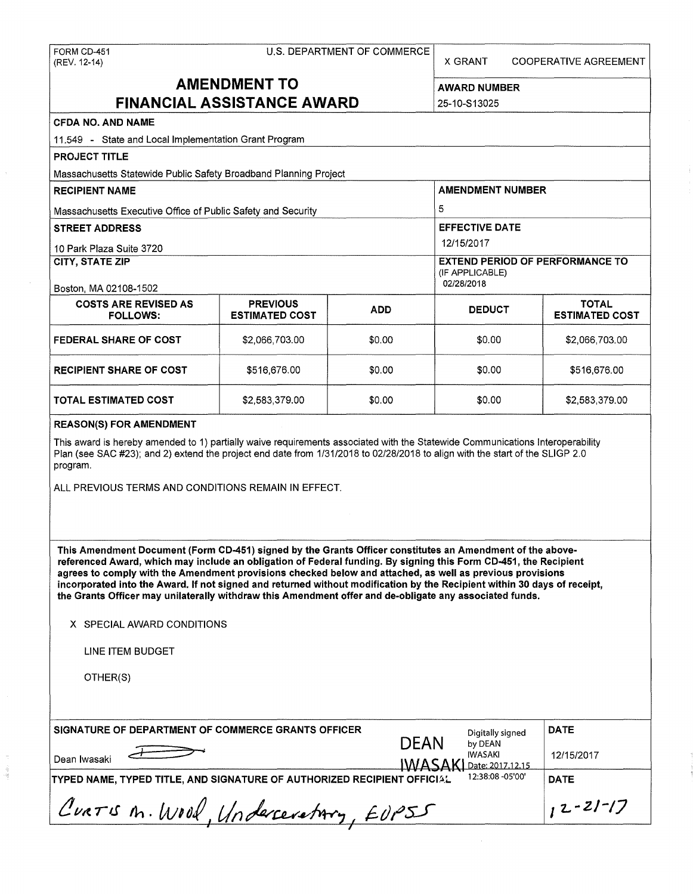| FORM CD-451<br>(REV. 12-14)                                                                                                                                                                                                                                                                                                                                                                                                                                                                                                                                                       | U.S. DEPARTMENT OF COMMERCE              | X GRANT<br><b>COOPERATIVE AGREEMENT</b>                                 |                         |  |                                       |  |
|-----------------------------------------------------------------------------------------------------------------------------------------------------------------------------------------------------------------------------------------------------------------------------------------------------------------------------------------------------------------------------------------------------------------------------------------------------------------------------------------------------------------------------------------------------------------------------------|------------------------------------------|-------------------------------------------------------------------------|-------------------------|--|---------------------------------------|--|
| <b>AMENDMENT TO</b>                                                                                                                                                                                                                                                                                                                                                                                                                                                                                                                                                               | <b>AWARD NUMBER</b>                      |                                                                         |                         |  |                                       |  |
|                                                                                                                                                                                                                                                                                                                                                                                                                                                                                                                                                                                   | <b>FINANCIAL ASSISTANCE AWARD</b>        |                                                                         | 25-10-S13025            |  |                                       |  |
| <b>CFDA NO. AND NAME</b>                                                                                                                                                                                                                                                                                                                                                                                                                                                                                                                                                          |                                          |                                                                         |                         |  |                                       |  |
| 11.549 - State and Local Implementation Grant Program                                                                                                                                                                                                                                                                                                                                                                                                                                                                                                                             |                                          |                                                                         |                         |  |                                       |  |
| <b>PROJECT TITLE</b>                                                                                                                                                                                                                                                                                                                                                                                                                                                                                                                                                              |                                          |                                                                         |                         |  |                                       |  |
| Massachusetts Statewide Public Safety Broadband Planning Project                                                                                                                                                                                                                                                                                                                                                                                                                                                                                                                  |                                          |                                                                         |                         |  |                                       |  |
| <b>RECIPIENT NAME</b>                                                                                                                                                                                                                                                                                                                                                                                                                                                                                                                                                             |                                          |                                                                         | <b>AMENDMENT NUMBER</b> |  |                                       |  |
| Massachusetts Executive Office of Public Safety and Security                                                                                                                                                                                                                                                                                                                                                                                                                                                                                                                      |                                          |                                                                         | 5                       |  |                                       |  |
| <b>STREET ADDRESS</b>                                                                                                                                                                                                                                                                                                                                                                                                                                                                                                                                                             |                                          |                                                                         | <b>EFFECTIVE DATE</b>   |  |                                       |  |
| 10 Park Plaza Suite 3720                                                                                                                                                                                                                                                                                                                                                                                                                                                                                                                                                          |                                          |                                                                         | 12/15/2017              |  |                                       |  |
| CITY, STATE ZIP<br>Boston, MA 02108-1502                                                                                                                                                                                                                                                                                                                                                                                                                                                                                                                                          |                                          | <b>EXTEND PERIOD OF PERFORMANCE TO</b><br>(IF APPLICABLE)<br>02/28/2018 |                         |  |                                       |  |
| <b>COSTS ARE REVISED AS</b><br><b>FOLLOWS:</b>                                                                                                                                                                                                                                                                                                                                                                                                                                                                                                                                    | <b>PREVIOUS</b><br><b>ESTIMATED COST</b> | <b>ADD</b>                                                              | <b>DEDUCT</b>           |  | <b>TOTAL</b><br><b>ESTIMATED COST</b> |  |
| <b>FEDERAL SHARE OF COST</b>                                                                                                                                                                                                                                                                                                                                                                                                                                                                                                                                                      | \$2,066,703.00                           | \$0.00                                                                  | \$0.00                  |  | \$2,066,703.00                        |  |
| <b>RECIPIENT SHARE OF COST</b>                                                                                                                                                                                                                                                                                                                                                                                                                                                                                                                                                    | \$516,676.00                             | \$0.00                                                                  | \$0.00                  |  | \$516,676.00                          |  |
| <b>TOTAL ESTIMATED COST</b>                                                                                                                                                                                                                                                                                                                                                                                                                                                                                                                                                       | \$2,583,379.00                           | \$0.00                                                                  | \$0.00                  |  | \$2,583,379.00                        |  |
| <b>REASON(S) FOR AMENDMENT</b>                                                                                                                                                                                                                                                                                                                                                                                                                                                                                                                                                    |                                          |                                                                         |                         |  |                                       |  |
| This award is hereby amended to 1) partially waive requirements associated with the Statewide Communications Interoperability<br>Plan (see SAC #23); and 2) extend the project end date from 1/31/2018 to 02/28/2018 to align with the start of the SLIGP 2.0<br>program.                                                                                                                                                                                                                                                                                                         |                                          |                                                                         |                         |  |                                       |  |
| ALL PREVIOUS TERMS AND CONDITIONS REMAIN IN EFFECT.                                                                                                                                                                                                                                                                                                                                                                                                                                                                                                                               |                                          |                                                                         |                         |  |                                       |  |
|                                                                                                                                                                                                                                                                                                                                                                                                                                                                                                                                                                                   |                                          |                                                                         |                         |  |                                       |  |
| This Amendment Document (Form CD-451) signed by the Grants Officer constitutes an Amendment of the above-<br>referenced Award, which may include an obligation of Federal funding. By signing this Form CD-451, the Recipient<br>agrees to comply with the Amendment provisions checked below and attached, as well as previous provisions<br>incorporated into the Award. If not signed and returned without modification by the Recipient within 30 days of receipt,<br>the Grants Officer may unilaterally withdraw this Amendment offer and de-obligate any associated funds. |                                          |                                                                         |                         |  |                                       |  |
| X SPECIAL AWARD CONDITIONS                                                                                                                                                                                                                                                                                                                                                                                                                                                                                                                                                        |                                          |                                                                         |                         |  |                                       |  |
| LINE ITEM BUDGET                                                                                                                                                                                                                                                                                                                                                                                                                                                                                                                                                                  |                                          |                                                                         |                         |  |                                       |  |
| OTHER(S)                                                                                                                                                                                                                                                                                                                                                                                                                                                                                                                                                                          |                                          |                                                                         |                         |  |                                       |  |
|                                                                                                                                                                                                                                                                                                                                                                                                                                                                                                                                                                                   |                                          |                                                                         |                         |  |                                       |  |

| <b>SIGNATURE OF DEPARTMENT OF COMMERCE GRANTS OFFICER</b>               | <b>DATE</b>                |                                        |                  |
|-------------------------------------------------------------------------|----------------------------|----------------------------------------|------------------|
| Dean Iwasaki                                                            | <b>DFAN</b><br><u>IWAS</u> | by DEAN<br>IWASAKI<br>Date: 2017.12.15 | 12/15/2017       |
| TYPED NAME, TYPED TITLE, AND SIGNATURE OF AUTHORIZED RECIPIENT OFFICIAL |                            | 12:38:08 - 05'00'                      | <b>DATE</b>      |
| CURTIS M. WOOD, Undercevetory, EUPSS                                    |                            |                                        | $1, 2 - 21 - 17$ |

ia el

*I*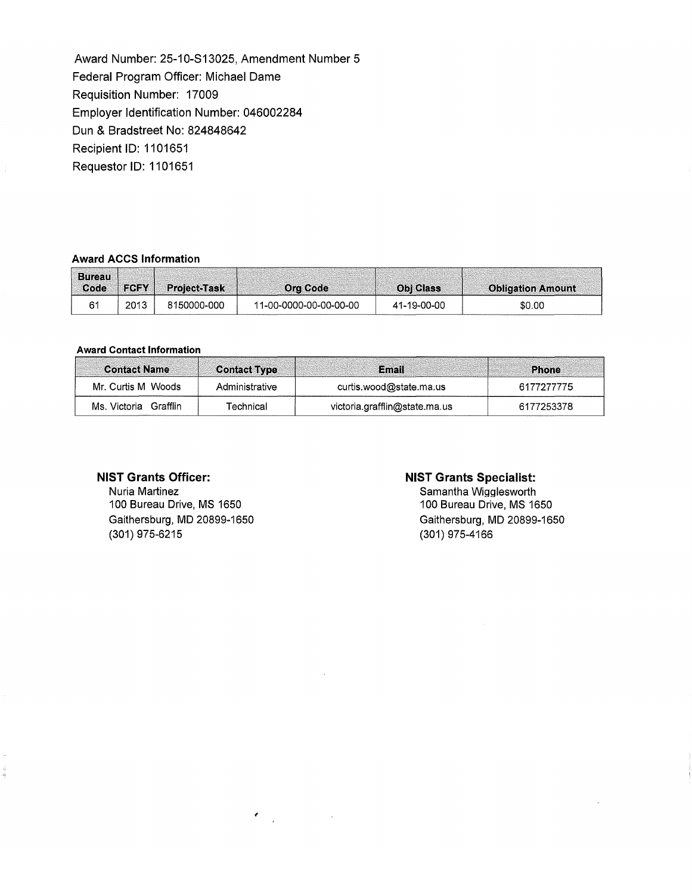Award Number: 25-10-S13025, Amendment Number 5 Federal Program Officer: Michael Dame Requisition Number: 17009 Employer Identification Number: 046002284 Dun & Bradstreet No: 824848642 Recipient ID: 1101651 Requestor ID: 1101651

#### **Award ACCS Information**

| <b>Bureau</b><br>Code | <b>IFCFY</b> | <b>Project-Task</b> | <b>Org Code</b>        | <b>Obi Class</b> | <b>Obligation Amount</b> |
|-----------------------|--------------|---------------------|------------------------|------------------|--------------------------|
|                       | 2013         | 8150000-000         | 11-00-0000-00-00-00-00 | 41-19-00-00      | \$0.00                   |

### **Award Contact Information**

| <b>Contact Name</b>  | <b>Contact Type</b> | Email                         | Phone      |
|----------------------|---------------------|-------------------------------|------------|
| Mr. Curtis M Woods   | Administrative      | curtis.wood@state.ma.us       | 6177277775 |
| Ms Victoria Grafflin | Technical           | victoria.grafflin@state.ma.us | 6177253378 |

 $\epsilon_{\rm{max}}$ 

# **NIST Grants Officer:**

Nuria Martinez 100 Bureau Drive, MS 1650 Gaithersburg, MD 20899-1650 (301) 975-6215

## **NIST Grants Specialist:**

Samantha Wigglesworth 100 Bureau Drive, MS 1650 Gaithersburg, MD 20899-1650 (301) 975-4166